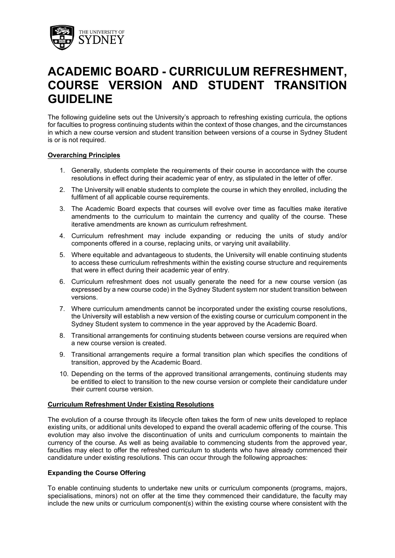

# **ACADEMIC BOARD - CURRICULUM REFRESHMENT, COURSE VERSION AND STUDENT TRANSITION GUIDELINE**

The following guideline sets out the University's approach to refreshing existing curricula, the options for faculties to progress continuing students within the context of those changes, and the circumstances in which a new course version and student transition between versions of a course in Sydney Student is or is not required.

## **Overarching Principles**

- 1. Generally, students complete the requirements of their course in accordance with the course resolutions in effect during their academic year of entry, as stipulated in the letter of offer.
- 2. The University will enable students to complete the course in which they enrolled, including the fulfilment of all applicable course requirements.
- 3. The Academic Board expects that courses will evolve over time as faculties make iterative amendments to the curriculum to maintain the currency and quality of the course. These iterative amendments are known as curriculum refreshment.
- 4. Curriculum refreshment may include expanding or reducing the units of study and/or components offered in a course, replacing units, or varying unit availability.
- 5. Where equitable and advantageous to students, the University will enable continuing students to access these curriculum refreshments within the existing course structure and requirements that were in effect during their academic year of entry.
- 6. Curriculum refreshment does not usually generate the need for a new course version (as expressed by a new course code) in the Sydney Student system nor student transition between versions.
- 7. Where curriculum amendments cannot be incorporated under the existing course resolutions, the University will establish a new version of the existing course or curriculum component in the Sydney Student system to commence in the year approved by the Academic Board.
- 8. Transitional arrangements for continuing students between course versions are required when a new course version is created.
- 9. Transitional arrangements require a formal transition plan which specifies the conditions of transition, approved by the Academic Board.
- 10. Depending on the terms of the approved transitional arrangements, continuing students may be entitled to elect to transition to the new course version or complete their candidature under their current course version.

## **Curriculum Refreshment Under Existing Resolutions**

The evolution of a course through its lifecycle often takes the form of new units developed to replace existing units, or additional units developed to expand the overall academic offering of the course. This evolution may also involve the discontinuation of units and curriculum components to maintain the currency of the course. As well as being available to commencing students from the approved year, faculties may elect to offer the refreshed curriculum to students who have already commenced their candidature under existing resolutions. This can occur through the following approaches:

## **Expanding the Course Offering**

To enable continuing students to undertake new units or curriculum components (programs, majors, specialisations, minors) not on offer at the time they commenced their candidature, the faculty may include the new units or curriculum component(s) within the existing course where consistent with the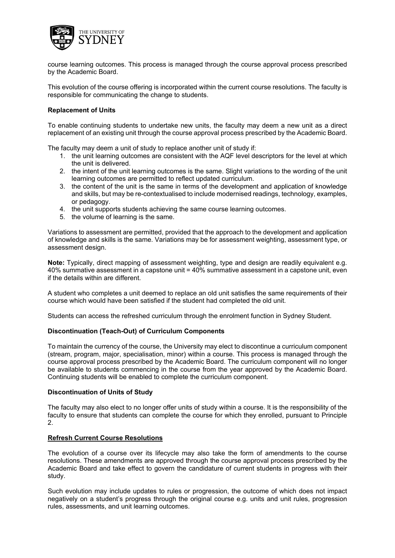

course learning outcomes. This process is managed through the course approval process prescribed by the Academic Board.

This evolution of the course offering is incorporated within the current course resolutions. The faculty is responsible for communicating the change to students.

## **Replacement of Units**

To enable continuing students to undertake new units, the faculty may deem a new unit as a direct replacement of an existing unit through the course approval process prescribed by the Academic Board.

The faculty may deem a unit of study to replace another unit of study if:

- 1. the unit learning outcomes are consistent with the AQF level descriptors for the level at which the unit is delivered.
- 2. the intent of the unit learning outcomes is the same. Slight variations to the wording of the unit learning outcomes are permitted to reflect updated curriculum.
- 3. the content of the unit is the same in terms of the development and application of knowledge and skills, but may be re-contextualised to include modernised readings, technology, examples, or pedagogy.
- 4. the unit supports students achieving the same course learning outcomes.
- 5. the volume of learning is the same.

Variations to assessment are permitted, provided that the approach to the development and application of knowledge and skills is the same. Variations may be for assessment weighting, assessment type, or assessment design.

**Note:** Typically, direct mapping of assessment weighting, type and design are readily equivalent e.g. 40% summative assessment in a capstone unit = 40% summative assessment in a capstone unit, even if the details within are different.

A student who completes a unit deemed to replace an old unit satisfies the same requirements of their course which would have been satisfied if the student had completed the old unit.

Students can access the refreshed curriculum through the enrolment function in Sydney Student.

## **Discontinuation (Teach-Out) of Curriculum Components**

To maintain the currency of the course, the University may elect to discontinue a curriculum component (stream, program, major, specialisation, minor) within a course. This process is managed through the course approval process prescribed by the Academic Board. The curriculum component will no longer be available to students commencing in the course from the year approved by the Academic Board. Continuing students will be enabled to complete the curriculum component.

## **Discontinuation of Units of Study**

The faculty may also elect to no longer offer units of study within a course. It is the responsibility of the faculty to ensure that students can complete the course for which they enrolled, pursuant to Principle 2.

## **Refresh Current Course Resolutions**

The evolution of a course over its lifecycle may also take the form of amendments to the course resolutions. These amendments are approved through the course approval process prescribed by the Academic Board and take effect to govern the candidature of current students in progress with their study.

Such evolution may include updates to rules or progression, the outcome of which does not impact negatively on a student's progress through the original course e.g. units and unit rules, progression rules, assessments, and unit learning outcomes.